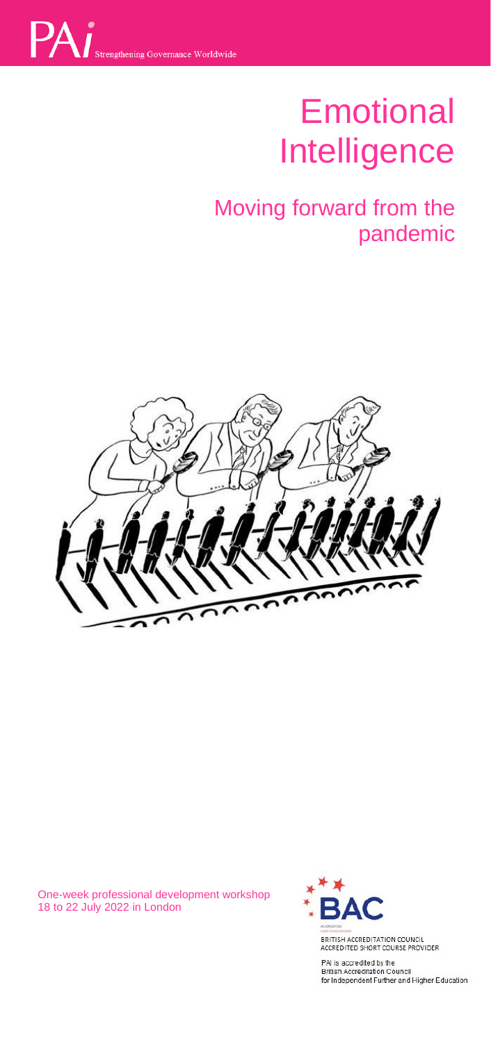

# Emotional Intelligence

# Moving forward from the pandemic



One-week professional development workshop 18 to 22 July 2022 in London



PAI is accredited by the<br>British Accreditation Council<br>for Independent Further and Higher Education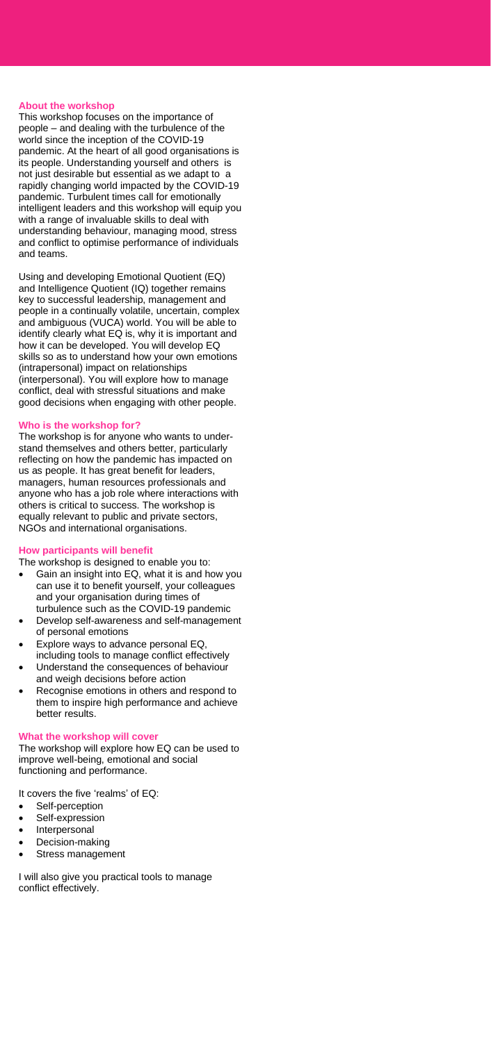#### **About the workshop**

This workshop focuses on the importance of people – and dealing with the turbulence of the world since the inception of the COVID-19 pandemic. At the heart of all good organisations is its people. Understanding yourself and others is not just desirable but essential as we adapt to a rapidly changing world impacted by the COVID-19 pandemic. Turbulent times call for emotionally intelligent leaders and this workshop will equip you with a range of invaluable skills to deal with understanding behaviour, managing mood, stress and conflict to optimise performance of individuals and teams.

Using and developing Emotional Quotient (EQ) and Intelligence Quotient (IQ) together remains key to successful leadership, management and people in a continually volatile, uncertain, complex and ambiguous (VUCA) world. You will be able to identify clearly what EQ is, why it is important and how it can be developed. You will develop EQ skills so as to understand how your own emotions (intrapersonal) impact on relationships (interpersonal). You will explore how to manage conflict, deal with stressful situations and make good decisions when engaging with other people.

# **Who is the workshop for?**

The workshop is for anyone who wants to understand themselves and others better, particularly reflecting on how the pandemic has impacted on us as people. It has great benefit for leaders, managers, human resources professionals and anyone who has a job role where interactions with others is critical to success. The workshop is equally relevant to public and private sectors, NGOs and international organisations.

#### **How participants will benefit**

The workshop is designed to enable you to:

- Gain an insight into EQ, what it is and how you can use it to benefit yourself, your colleagues and your organisation during times of turbulence such as the COVID-19 pandemic
- Develop self-awareness and self-management of personal emotions
- Explore ways to advance personal EQ,
- including tools to manage conflict effectively • Understand the consequences of behaviour
- and weigh decisions before action • Recognise emotions in others and respond to them to inspire high performance and achieve better results.

# **What the workshop will cover**

The workshop will explore how EQ can be used to improve well-being, emotional and social functioning and performance.

It covers the five 'realms' of EQ:

- Self-perception
- Self-expression
- **Interpersonal**
- Decision-making
- Stress management

I will also give you practical tools to manage conflict effectively.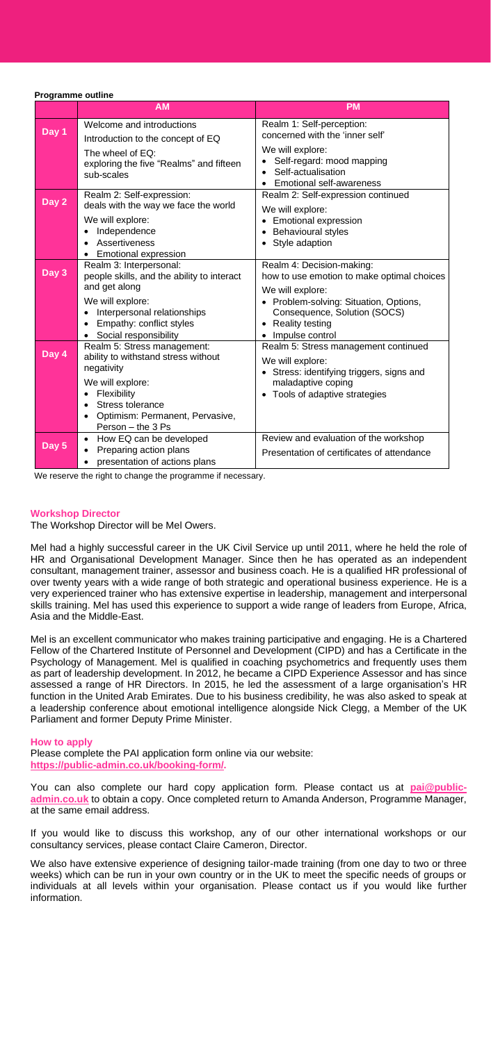#### **Programme outline**

|                    | <b>AM</b>                                                                                                                                                                                                                     | <b>PM</b>                                                                                                                                                                                                          |
|--------------------|-------------------------------------------------------------------------------------------------------------------------------------------------------------------------------------------------------------------------------|--------------------------------------------------------------------------------------------------------------------------------------------------------------------------------------------------------------------|
| Day 1              | Welcome and introductions<br>Introduction to the concept of EQ<br>The wheel of EQ:<br>exploring the five "Realms" and fifteen<br>sub-scales                                                                                   | Realm 1: Self-perception:<br>concerned with the 'inner self'<br>We will explore:<br>Self-regard: mood mapping<br>Self-actualisation<br><b>Emotional self-awareness</b><br>$\bullet$                                |
| Day 2              | Realm 2: Self-expression:<br>deals with the way we face the world<br>We will explore:<br>Independence<br>$\bullet$<br>Assertiveness<br>$\bullet$<br>• Emotional expression                                                    | Realm 2: Self-expression continued<br>We will explore:<br>Emotional expression<br>Behavioural styles<br>٠<br>• Style adaption                                                                                      |
| Day <sub>3</sub>   | Realm 3: Interpersonal:<br>people skills, and the ability to interact<br>and get along<br>We will explore:<br>Interpersonal relationships<br>٠<br>Empathy: conflict styles<br>$\bullet$<br>Social responsibility<br>$\bullet$ | Realm 4: Decision-making:<br>how to use emotion to make optimal choices<br>We will explore:<br>• Problem-solving: Situation, Options,<br>Consequence, Solution (SOCS)<br><b>Reality testing</b><br>Impulse control |
| Day $\overline{4}$ | Realm 5: Stress management:<br>ability to withstand stress without<br>negativity<br>We will explore:<br>Flexibility<br>$\bullet$<br>Stress tolerance<br>Optimism: Permanent, Pervasive,<br>$\bullet$<br>Person - the 3 Ps     | Realm 5: Stress management continued<br>We will explore:<br>• Stress: identifying triggers, signs and<br>maladaptive coping<br>Tools of adaptive strategies                                                        |
| Day 5              | How EQ can be developed<br>٠<br>Preparing action plans<br>presentation of actions plans                                                                                                                                       | Review and evaluation of the workshop<br>Presentation of certificates of attendance                                                                                                                                |

We reserve the right to change the programme if necessary.

# **Workshop Director**

The Workshop Director will be Mel Owers.

Mel had a highly successful career in the UK Civil Service up until 2011, where he held the role of HR and Organisational Development Manager. Since then he has operated as an independent consultant, management trainer, assessor and business coach. He is a qualified HR professional of over twenty years with a wide range of both strategic and operational business experience. He is a very experienced trainer who has extensive expertise in leadership, management and interpersonal skills training. Mel has used this experience to support a wide range of leaders from Europe, Africa, Asia and the Middle-East.

Mel is an excellent communicator who makes training participative and engaging. He is a Chartered Fellow of the Chartered Institute of Personnel and Development (CIPD) and has a Certificate in the Psychology of Management. Mel is qualified in coaching psychometrics and frequently uses them as part of leadership development. In 2012, he became a CIPD Experience Assessor and has since assessed a range of HR Directors. In 2015, he led the assessment of a large organisation's HR function in the United Arab Emirates. Due to his business credibility, he was also asked to speak at a leadership conference about emotional intelligence alongside Nick Clegg, a Member of the UK Parliament and former Deputy Prime Minister.

#### **How to apply**

Please complete the PAI application form online via our website: **[https://public-admin.co.uk/booking-form/.](https://public-admin.co.uk/booking-form/)** 

You can also complete our hard copy application form. Please contact us at **[pai@public](mailto:pai@public-admin.co.uk)[admin.co.uk](mailto:pai@public-admin.co.uk)** to obtain a copy. Once completed return to Amanda Anderson, Programme Manager, at the same email address.

If you would like to discuss this workshop, any of our other international workshops or our consultancy services, please contact Claire Cameron, Director.

We also have extensive experience of designing tailor-made training (from one day to two or three weeks) which can be run in your own country or in the UK to meet the specific needs of groups or individuals at all levels within your organisation. Please contact us if you would like further information.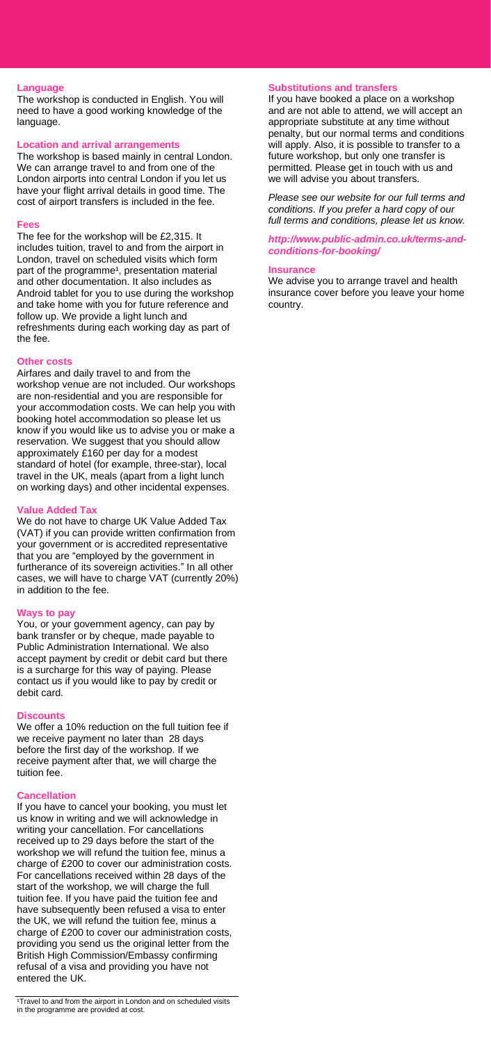## **Language**

The workshop is conducted in English. You will need to have a good working knowledge of the language.

#### **Location and arrival arrangements**

The workshop is based mainly in central London. We can arrange travel to and from one of the London airports into central London if you let us have your flight arrival details in good time. The cost of airport transfers is included in the fee.

#### **Fees**

The fee for the workshop will be £2,315. It includes tuition, travel to and from the airport in London, travel on scheduled visits which form part of the programme<sup>1</sup>, presentation material and other documentation. It also includes as Android tablet for you to use during the workshop and take home with you for future reference and follow up. We provide a light lunch and refreshments during each working day as part of the fee.

#### **Other costs**

Airfares and daily travel to and from the workshop venue are not included. Our workshops are non-residential and you are responsible for your accommodation costs. We can help you with booking hotel accommodation so please let us know if you would like us to advise you or make a reservation. We suggest that you should allow approximately £160 per day for a modest standard of hotel (for example, three-star), local travel in the UK, meals (apart from a light lunch on working days) and other incidental expenses.

#### **Value Added Tax**

We do not have to charge UK Value Added Tax (VAT) if you can provide written confirmation from your government or is accredited representative that you are "employed by the government in furtherance of its sovereign activities." In all other cases, we will have to charge VAT (currently 20%) in addition to the fee.

#### **Ways to pay**

You, or your government agency, can pay by bank transfer or by cheque, made payable to Public Administration International. We also accept payment by credit or debit card but there is a surcharge for this way of paying. Please contact us if you would like to pay by credit or debit card.

# **Discounts**

We offer a 10% reduction on the full tuition fee if we receive payment no later than 28 days before the first day of the workshop. If we receive payment after that, we will charge the tuition fee.

#### **Cancellation**

If you have to cancel your booking, you must let us know in writing and we will acknowledge in writing your cancellation. For cancellations received up to 29 days before the start of the workshop we will refund the tuition fee, minus a charge of £200 to cover our administration costs. For cancellations received within 28 days of the start of the workshop, we will charge the full tuition fee. If you have paid the tuition fee and have subsequently been refused a visa to enter the UK, we will refund the tuition fee, minus a charge of £200 to cover our administration costs, providing you send us the original letter from the British High Commission/Embassy confirming refusal of a visa and providing you have not entered the UK.

# **Substitutions and transfers**

If you have booked a place on a workshop and are not able to attend, we will accept an appropriate substitute at any time without penalty, but our normal terms and conditions will apply. Also, it is possible to transfer to a future workshop, but only one transfer is permitted. Please get in touch with us and we will advise you about transfers.

*Please see our website for our full terms and conditions. If you prefer a hard copy of our full terms and conditions, please let us know.*

*[http://www.public-admin.co.uk/terms-and](http://www.public-admin.co.uk/terms-and-conditions-for-booking/)[conditions-for-booking/](http://www.public-admin.co.uk/terms-and-conditions-for-booking/)*

#### **Insurance**

We advise you to arrange travel and health insurance cover before you leave your home country.

<sup>&</sup>lt;sup>1</sup>Travel to and from the airport in London and on scheduled visits in the programme are provided at cost.